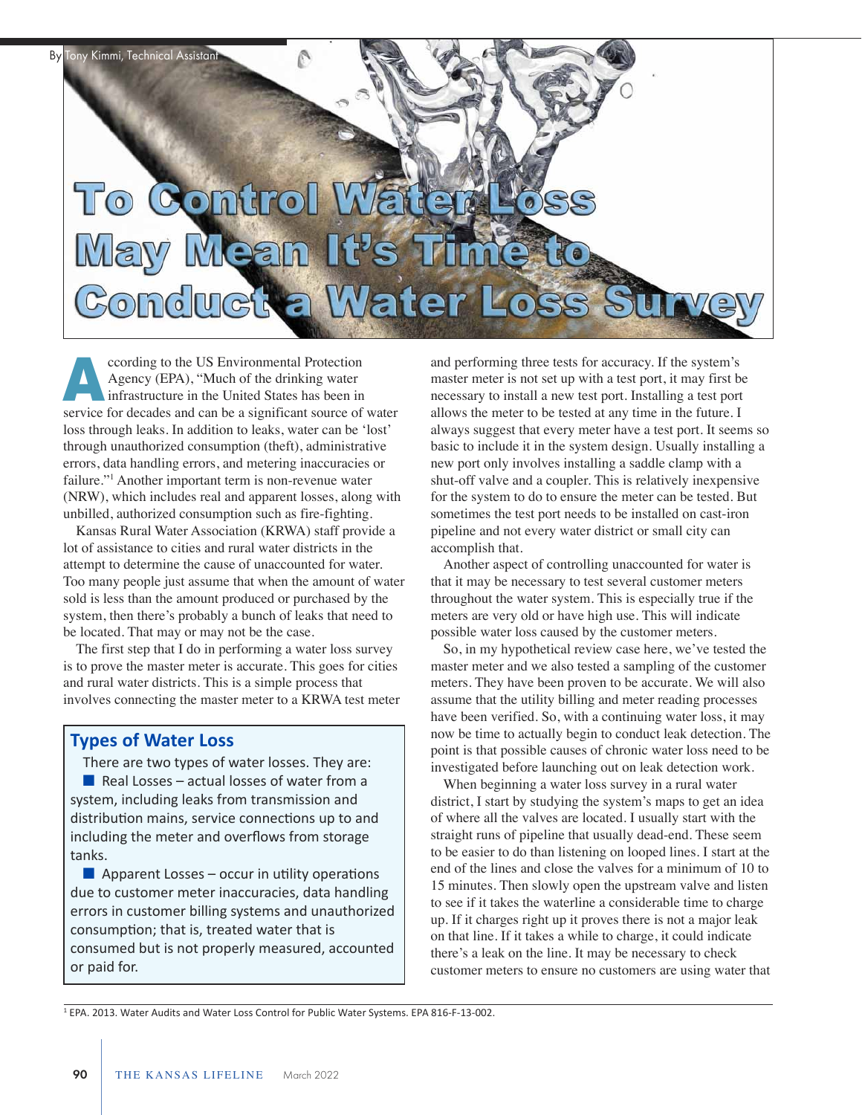

ccording to the US Environmental Protection Agency (EPA), "Much of the drinking water infrastructure in the United States has been in coording to the US Environmental Protection<br>Agency (EPA), "Much of the drinking water<br>infrastructure in the United States has been in<br>service for decades and can be a significant source of water loss through leaks. In addition to leaks, water can be 'lost' through unauthorized consumption (theft), administrative errors, data handling errors, and metering inaccuracies or failure."1 Another important term is non-revenue water (NRW), which includes real and apparent losses, along with unbilled, authorized consumption such as fire-fighting.

Kansas Rural Water Association (KRWA) staff provide a lot of assistance to cities and rural water districts in the attempt to determine the cause of unaccounted for water. Too many people just assume that when the amount of water sold is less than the amount produced or purchased by the system, then there's probably a bunch of leaks that need to be located. That may or may not be the case.

The first step that I do in performing a water loss survey is to prove the master meter is accurate. This goes for cities and rural water districts. This is a simple process that involves connecting the master meter to a KRWA test meter

## **Types of Water Loss**

There are two types of water losses. They are: Real Losses – actual losses of water from a system, including leaks from transmission and distribution mains, service connections up to and including the meter and overflows from storage tanks.

 $\blacksquare$  Apparent Losses – occur in utility operations due to customer meter inaccuracies, data handling errors in customer billing systems and unauthorized consumption; that is, treated water that is consumed but is not properly measured, accounted or paid for.

and performing three tests for accuracy. If the system's master meter is not set up with a test port, it may first be necessary to install a new test port. Installing a test port allows the meter to be tested at any time in the future. I always suggest that every meter have a test port. It seems so basic to include it in the system design. Usually installing a new port only involves installing a saddle clamp with a shut-off valve and a coupler. This is relatively inexpensive for the system to do to ensure the meter can be tested. But sometimes the test port needs to be installed on cast-iron pipeline and not every water district or small city can accomplish that.

Another aspect of controlling unaccounted for water is that it may be necessary to test several customer meters throughout the water system. This is especially true if the meters are very old or have high use. This will indicate possible water loss caused by the customer meters.

So, in my hypothetical review case here, we've tested the master meter and we also tested a sampling of the customer meters. They have been proven to be accurate. We will also assume that the utility billing and meter reading processes have been verified. So, with a continuing water loss, it may now be time to actually begin to conduct leak detection. The point is that possible causes of chronic water loss need to be investigated before launching out on leak detection work.

When beginning a water loss survey in a rural water district, I start by studying the system's maps to get an idea of where all the valves are located. I usually start with the straight runs of pipeline that usually dead-end. These seem to be easier to do than listening on looped lines. I start at the end of the lines and close the valves for a minimum of 10 to 15 minutes. Then slowly open the upstream valve and listen to see if it takes the waterline a considerable time to charge up. If it charges right up it proves there is not a major leak on that line. If it takes a while to charge, it could indicate there's a leak on the line. It may be necessary to check customer meters to ensure no customers are using water that

<sup>1</sup> EPA. 2013. Water Audits and Water Loss Control for Public Water Systems. EPA 816-F-13-002.